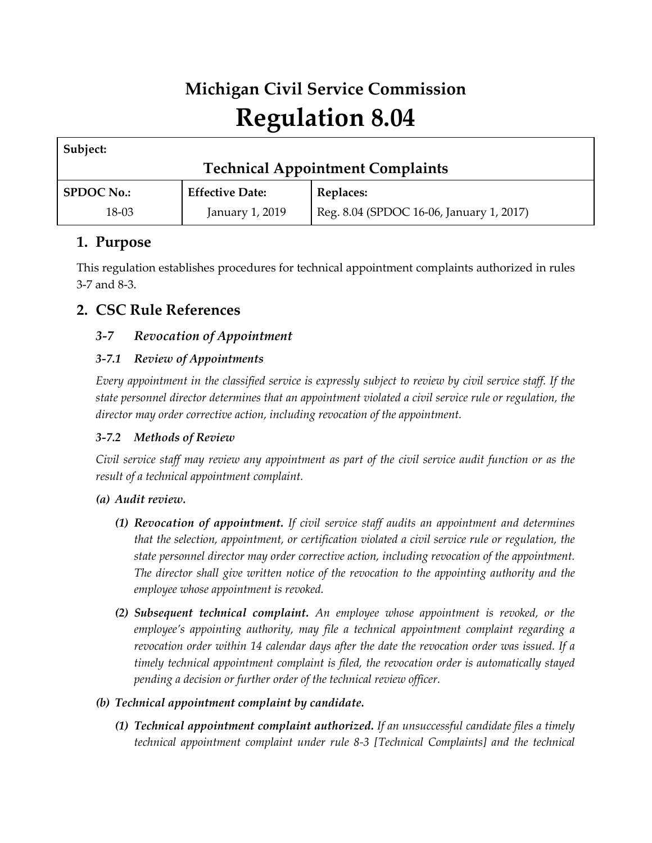# **Michigan Civil Service Commission Regulation 8.04**

| Subject:                                |                        |                                          |
|-----------------------------------------|------------------------|------------------------------------------|
| <b>Technical Appointment Complaints</b> |                        |                                          |
| <b>SPDOC No.:</b>                       | <b>Effective Date:</b> | Replaces:                                |
| 18-03                                   | January 1, 2019        | Reg. 8.04 (SPDOC 16-06, January 1, 2017) |

# **1. Purpose**

This regulation establishes procedures for technical appointment complaints authorized in rules 3-7 and 8-3.

# **2. CSC Rule References**

# *3-7 Revocation of Appointment*

# *3-7.1 Review of Appointments*

*Every appointment in the classified service is expressly subject to review by civil service staff. If the state personnel director determines that an appointment violated a civil service rule or regulation, the director may order corrective action, including revocation of the appointment.*

# *3-7.2 Methods of Review*

*Civil service staff may review any appointment as part of the civil service audit function or as the result of a technical appointment complaint.*

# *(a) Audit review.*

- *(1) Revocation of appointment. If civil service staff audits an appointment and determines that the selection, appointment, or certification violated a civil service rule or regulation, the state personnel director may order corrective action, including revocation of the appointment. The director shall give written notice of the revocation to the appointing authority and the employee whose appointment is revoked.*
- *(2) Subsequent technical complaint. An employee whose appointment is revoked, or the employee's appointing authority, may file a technical appointment complaint regarding a revocation order within 14 calendar days after the date the revocation order was issued. If a timely technical appointment complaint is filed, the revocation order is automatically stayed pending a decision or further order of the technical review officer.*

# *(b) Technical appointment complaint by candidate.*

*(1) Technical appointment complaint authorized. If an unsuccessful candidate files a timely technical appointment complaint under rule 8-3 [Technical Complaints] and the technical*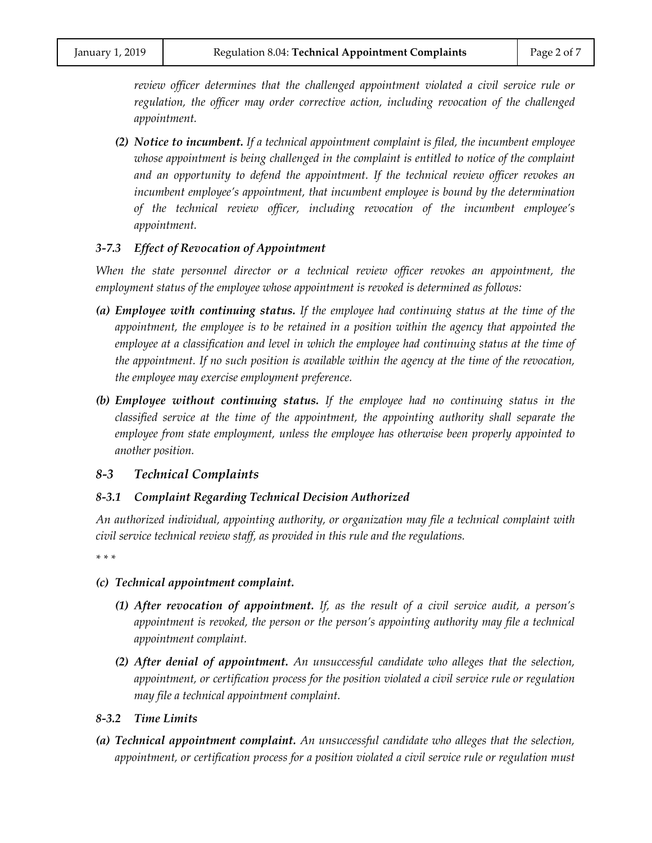*review officer determines that the challenged appointment violated a civil service rule or regulation, the officer may order corrective action, including revocation of the challenged appointment.*

*(2) Notice to incumbent. If a technical appointment complaint is filed, the incumbent employee whose appointment is being challenged in the complaint is entitled to notice of the complaint and an opportunity to defend the appointment. If the technical review officer revokes an incumbent employee's appointment, that incumbent employee is bound by the determination of the technical review officer, including revocation of the incumbent employee's appointment.*

## *3-7.3 Effect of Revocation of Appointment*

*When the state personnel director or a technical review officer revokes an appointment, the employment status of the employee whose appointment is revoked is determined as follows:*

- *(a) Employee with continuing status. If the employee had continuing status at the time of the appointment, the employee is to be retained in a position within the agency that appointed the employee at a classification and level in which the employee had continuing status at the time of the appointment. If no such position is available within the agency at the time of the revocation, the employee may exercise employment preference.*
- *(b) Employee without continuing status. If the employee had no continuing status in the classified service at the time of the appointment, the appointing authority shall separate the employee from state employment, unless the employee has otherwise been properly appointed to another position.*

## *8-3 Technical Complaints*

## *8-3.1 Complaint Regarding Technical Decision Authorized*

*An authorized individual, appointing authority, or organization may file a technical complaint with civil service technical review staff, as provided in this rule and the regulations.*

*\* \* \** 

- *(c) Technical appointment complaint.*
	- *(1) After revocation of appointment. If, as the result of a civil service audit, a person's appointment is revoked, the person or the person's appointing authority may file a technical appointment complaint.*
	- *(2) After denial of appointment. An unsuccessful candidate who alleges that the selection, appointment, or certification process for the position violated a civil service rule or regulation may file a technical appointment complaint.*

## *8-3.2 Time Limits*

*(a) Technical appointment complaint. An unsuccessful candidate who alleges that the selection, appointment, or certification process for a position violated a civil service rule or regulation must*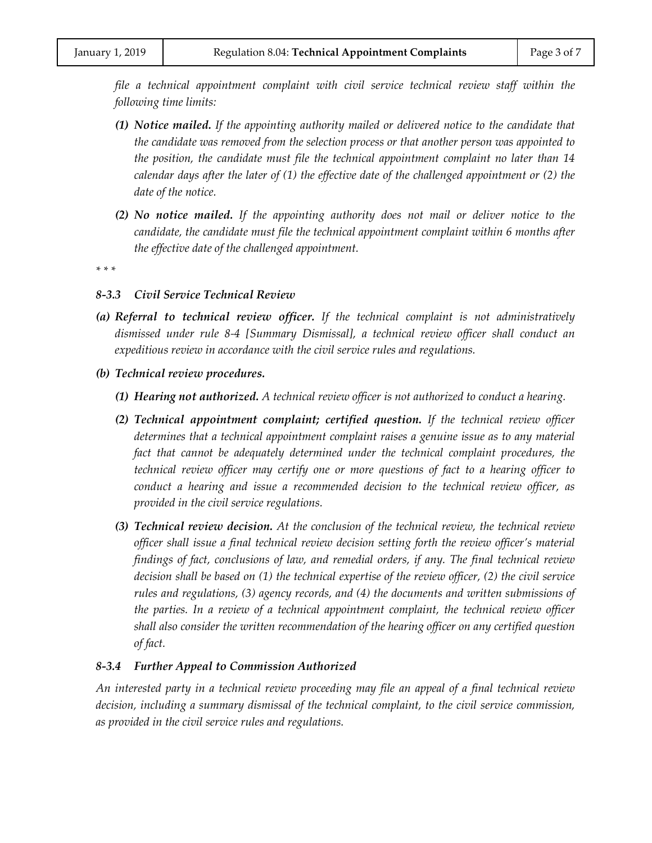*file a technical appointment complaint with civil service technical review staff within the following time limits:*

- *(1) Notice mailed. If the appointing authority mailed or delivered notice to the candidate that the candidate was removed from the selection process or that another person was appointed to the position, the candidate must file the technical appointment complaint no later than 14 calendar days after the later of (1) the effective date of the challenged appointment or (2) the date of the notice.*
- *(2) No notice mailed. If the appointing authority does not mail or deliver notice to the candidate, the candidate must file the technical appointment complaint within 6 months after the effective date of the challenged appointment.*

*\* \* \** 

#### *8-3.3 Civil Service Technical Review*

- *(a) Referral to technical review officer. If the technical complaint is not administratively dismissed under rule 8-4 [Summary Dismissal], a technical review officer shall conduct an expeditious review in accordance with the civil service rules and regulations.*
- *(b) Technical review procedures.*
	- *(1) Hearing not authorized. A technical review officer is not authorized to conduct a hearing.*
	- *(2) Technical appointment complaint; certified question. If the technical review officer determines that a technical appointment complaint raises a genuine issue as to any material*  fact that cannot be adequately determined under the technical complaint procedures, the *technical review officer may certify one or more questions of fact to a hearing officer to conduct a hearing and issue a recommended decision to the technical review officer, as provided in the civil service regulations.*
	- *(3) Technical review decision. At the conclusion of the technical review, the technical review officer shall issue a final technical review decision setting forth the review officer's material findings of fact, conclusions of law, and remedial orders, if any. The final technical review decision shall be based on (1) the technical expertise of the review officer, (2) the civil service rules and regulations, (3) agency records, and (4) the documents and written submissions of the parties. In a review of a technical appointment complaint, the technical review officer shall also consider the written recommendation of the hearing officer on any certified question of fact.*

#### *8-3.4 Further Appeal to Commission Authorized*

*An interested party in a technical review proceeding may file an appeal of a final technical review decision, including a summary dismissal of the technical complaint, to the civil service commission, as provided in the civil service rules and regulations.*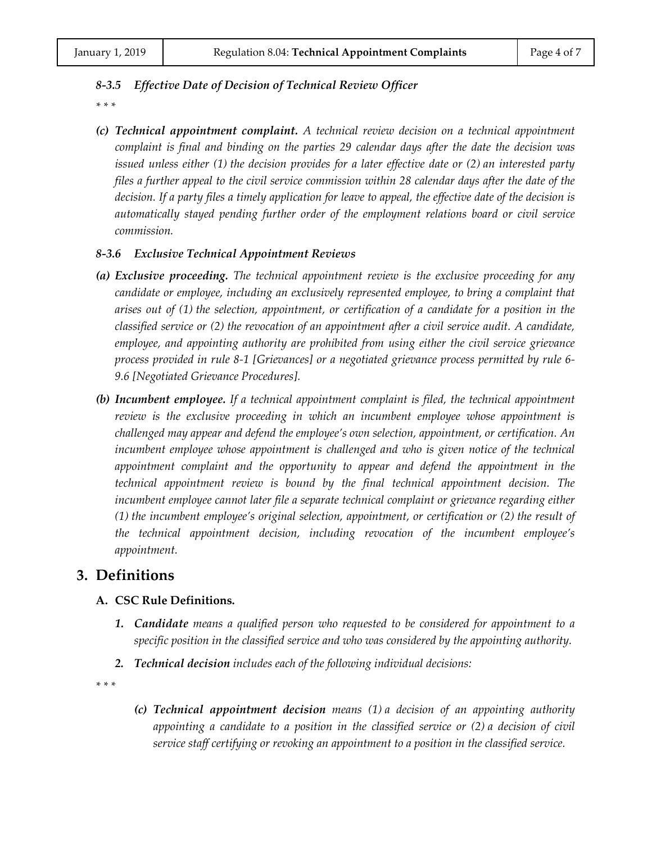## *8-3.5 Effective Date of Decision of Technical Review Officer*

*\* \* \** 

*(c) Technical appointment complaint. A technical review decision on a technical appointment complaint is final and binding on the parties 29 calendar days after the date the decision was issued unless either (1) the decision provides for a later effective date or (2) an interested party files a further appeal to the civil service commission within 28 calendar days after the date of the decision. If a party files a timely application for leave to appeal, the effective date of the decision is automatically stayed pending further order of the employment relations board or civil service commission.*

## *8-3.6 Exclusive Technical Appointment Reviews*

- *(a) Exclusive proceeding. The technical appointment review is the exclusive proceeding for any candidate or employee, including an exclusively represented employee, to bring a complaint that arises out of (1) the selection, appointment, or certification of a candidate for a position in the classified service or (2) the revocation of an appointment after a civil service audit. A candidate, employee, and appointing authority are prohibited from using either the civil service grievance process provided in rule 8-1 [Grievances] or a negotiated grievance process permitted by rule 6- 9.6 [Negotiated Grievance Procedures].*
- *(b) Incumbent employee. If a technical appointment complaint is filed, the technical appointment review is the exclusive proceeding in which an incumbent employee whose appointment is challenged may appear and defend the employee's own selection, appointment, or certification. An incumbent employee whose appointment is challenged and who is given notice of the technical appointment complaint and the opportunity to appear and defend the appointment in the technical appointment review is bound by the final technical appointment decision. The incumbent employee cannot later file a separate technical complaint or grievance regarding either (1) the incumbent employee's original selection, appointment, or certification or (2) the result of the technical appointment decision, including revocation of the incumbent employee's appointment.*

# **3. Definitions**

## **A. CSC Rule Definitions.**

- *1. Candidate means a qualified person who requested to be considered for appointment to a specific position in the classified service and who was considered by the appointing authority.*
- *2. Technical decision includes each of the following individual decisions:*

*\* \* \**

*(c) Technical appointment decision means (1) a decision of an appointing authority appointing a candidate to a position in the classified service or (2) a decision of civil service staff certifying or revoking an appointment to a position in the classified service.*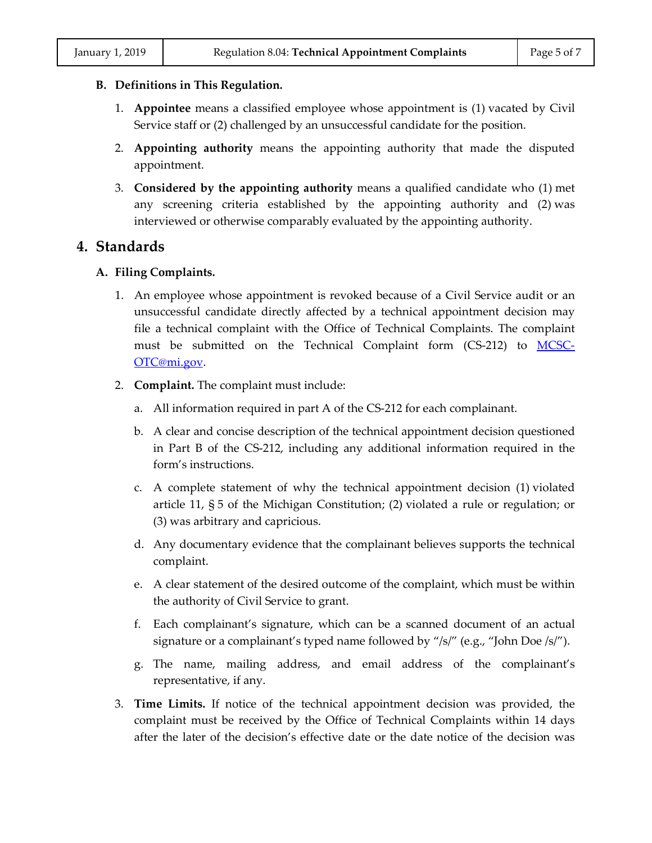## **B. Definitions in This Regulation.**

- 1. **Appointee** means a classified employee whose appointment is (1) vacated by Civil Service staff or (2) challenged by an unsuccessful candidate for the position.
- 2. **Appointing authority** means the appointing authority that made the disputed appointment.
- 3. **Considered by the appointing authority** means a qualified candidate who (1) met any screening criteria established by the appointing authority and (2) was interviewed or otherwise comparably evaluated by the appointing authority.

# **4. Standards**

# **A. Filing Complaints.**

- 1. An employee whose appointment is revoked because of a Civil Service audit or an unsuccessful candidate directly affected by a technical appointment decision may file a technical complaint with the Office of Technical Complaints. The complaint must be submitted on the Technical Complaint form (CS-212) to [MCSC-](mailto:MCSC-OTC@mi.gov)[OTC@mi.gov.](mailto:MCSC-OTC@mi.gov)
- 2. **Complaint.** The complaint must include:
	- a. All information required in part A of the CS-212 for each complainant.
	- b. A clear and concise description of the technical appointment decision questioned in Part B of the CS-212, including any additional information required in the form's instructions.
	- c. A complete statement of why the technical appointment decision (1) violated article 11, § 5 of the Michigan Constitution; (2) violated a rule or regulation; or (3) was arbitrary and capricious.
	- d. Any documentary evidence that the complainant believes supports the technical complaint.
	- e. A clear statement of the desired outcome of the complaint, which must be within the authority of Civil Service to grant.
	- f. Each complainant's signature, which can be a scanned document of an actual signature or a complainant's typed name followed by "/s/" (e.g., "John Doe /s/").
	- g. The name, mailing address, and email address of the complainant's representative, if any.
- 3. **Time Limits.** If notice of the technical appointment decision was provided, the complaint must be received by the Office of Technical Complaints within 14 days after the later of the decision's effective date or the date notice of the decision was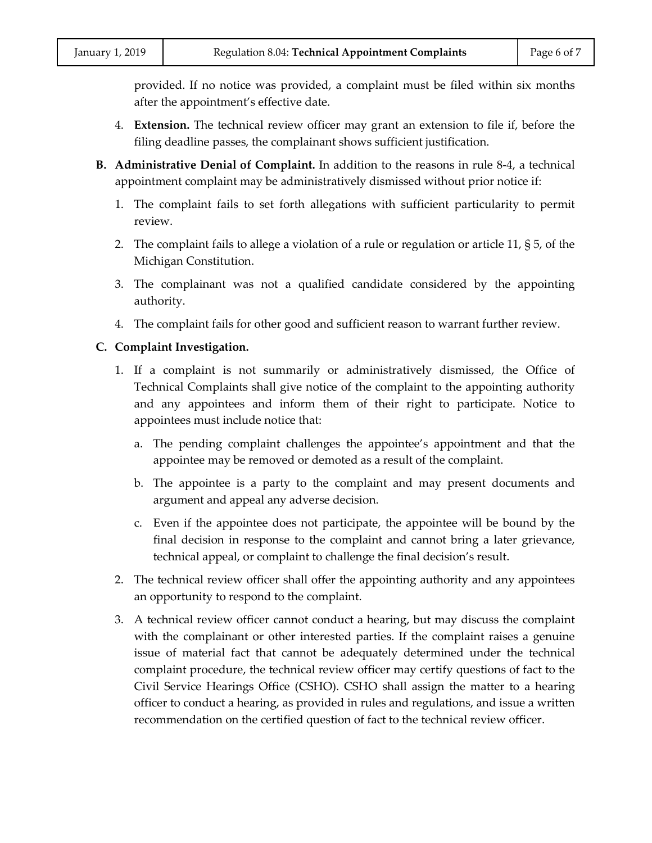provided. If no notice was provided, a complaint must be filed within six months after the appointment's effective date.

- 4. **Extension.** The technical review officer may grant an extension to file if, before the filing deadline passes, the complainant shows sufficient justification.
- **B. Administrative Denial of Complaint.** In addition to the reasons in rule 8-4, a technical appointment complaint may be administratively dismissed without prior notice if:
	- 1. The complaint fails to set forth allegations with sufficient particularity to permit review.
	- 2. The complaint fails to allege a violation of a rule or regulation or article 11, § 5, of the Michigan Constitution.
	- 3. The complainant was not a qualified candidate considered by the appointing authority.
	- 4. The complaint fails for other good and sufficient reason to warrant further review.

## **C. Complaint Investigation.**

- 1. If a complaint is not summarily or administratively dismissed, the Office of Technical Complaints shall give notice of the complaint to the appointing authority and any appointees and inform them of their right to participate. Notice to appointees must include notice that:
	- a. The pending complaint challenges the appointee's appointment and that the appointee may be removed or demoted as a result of the complaint.
	- b. The appointee is a party to the complaint and may present documents and argument and appeal any adverse decision.
	- c. Even if the appointee does not participate, the appointee will be bound by the final decision in response to the complaint and cannot bring a later grievance, technical appeal, or complaint to challenge the final decision's result.
- 2. The technical review officer shall offer the appointing authority and any appointees an opportunity to respond to the complaint.
- 3. A technical review officer cannot conduct a hearing, but may discuss the complaint with the complainant or other interested parties. If the complaint raises a genuine issue of material fact that cannot be adequately determined under the technical complaint procedure, the technical review officer may certify questions of fact to the Civil Service Hearings Office (CSHO). CSHO shall assign the matter to a hearing officer to conduct a hearing, as provided in rules and regulations, and issue a written recommendation on the certified question of fact to the technical review officer.